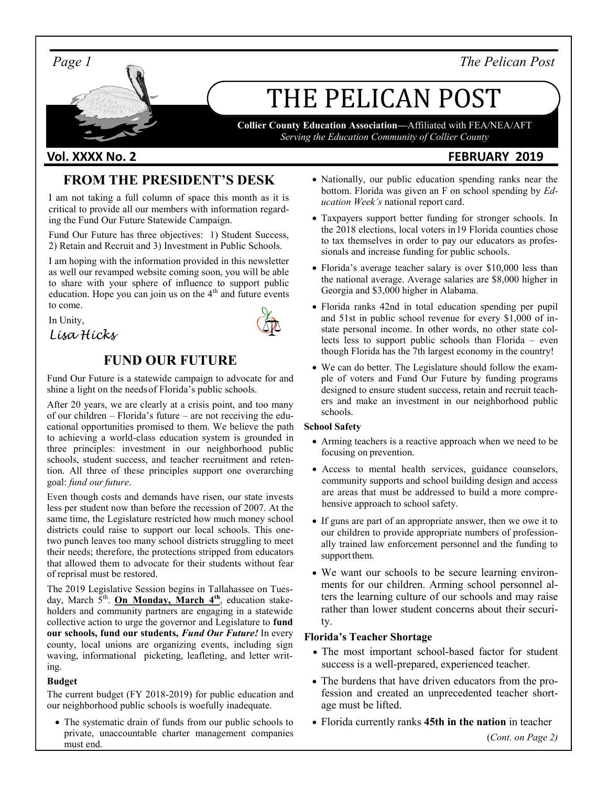*Page 1 The Pelican Post*

# THE PELICAN POST

**Collier County Education Association—**Affiliated with FEA/NEA/AFT *Serving the Education Community of Collier County*

### **Vol. XXXX No. 2 FEBRUARY 2019**

# **FROM THE PRESIDENT'S DESK**

I am not taking a full column of space this month as it is critical to provide all our members with information regarding the Fund Our Future Statewide Campaign.

Fund Our Future has three objectives: 1) Student Success, 2) Retain and Recruit and 3) Investment in Public Schools.

I am hoping with the information provided in this newsletter as well our revamped website coming soon, you will be able to share with your sphere of influence to support public education. Hope you can join us on the 4<sup>th</sup> and future events to come.

In Unity,



# *Lisa Hicks*

## **FUND OUR FUTURE**

Fund Our Future is a statewide campaign to advocate for and shine a light on the needsof Florida's public schools.

After 20 years, we are clearly at a crisis point, and too many of our children – Florida's future – are not receiving the educational opportunities promised to them. We believe the path to achieving a world-class education system is grounded in three principles: investment in our neighborhood public schools, student success, and teacher recruitment and retention. All three of these principles support one overarching goal: *fund our future*.

Even though costs and demands have risen, our state invests less per student now than before the recession of 2007. At the same time, the Legislature restricted how much money school districts could raise to support our local schools. This onetwo punch leaves too many school districts struggling to meet their needs; therefore, the protections stripped from educators that allowed them to advocate for their students without fear of reprisal must be restored.

The 2019 Legislative Session begins in Tallahassee on Tuesday, March 5<sup>th</sup>. **On Monday, March 4<sup>th</sup>**, education stakeholders and community partners are engaging in a statewide collective action to urge the governor and Legislature to **fund our schools, fund our students,** *Fund Our Future!* In every county, local unions are organizing events, including sign waving, informational picketing, leafleting, and letter writing.

#### **Budget**

The current budget (FY 2018-2019) for public education and our neighborhood public schools is woefully inadequate.

• The systematic drain of funds from our public schools to private, unaccountable charter management companies must end.

- Nationally, our public education spending ranks near the bottom. Florida was given an F on school spending by *Education Week's* national report card.
- Taxpayers support better funding for stronger schools. In the 2018 elections, local voters in19 Florida counties chose to tax themselves in order to pay our educators as professionals and increase funding for public schools.
- Florida's average teacher salary is over \$10,000 less than the national average. Average salaries are \$8,000 higher in Georgia and \$3,000 higher in Alabama.
- Florida ranks 42nd in total education spending per pupil and 51st in public school revenue for every \$1,000 of instate personal income. In other words, no other state collects less to support public schools than Florida – even though Florida has the 7th largest economy in the country!
- We can do better. The Legislature should follow the example of voters and Fund Our Future by funding programs designed to ensure student success, retain and recruit teachers and make an investment in our neighborhood public schools.

#### **School Safety**

- Arming teachers is a reactive approach when we need to be focusing on prevention.
- Access to mental health services, guidance counselors, community supports and school building design and access are areas that must be addressed to build a more comprehensive approach to school safety.
- If guns are part of an appropriate answer, then we owe it to our children to provide appropriate numbers of professionally trained law enforcement personnel and the funding to support them.
- We want our schools to be secure learning environments for our children. Arming school personnel alters the learning culture of our schools and may raise rather than lower student concerns about their security.

#### **Florida's Teacher Shortage**

- The most important school-based factor for student success is a well-prepared, experienced teacher.
- The burdens that have driven educators from the profession and created an unprecedented teacher shortage must be lifted.
- Florida currently ranks **45th in the nation** in teacher (*Cont. on Page 2)*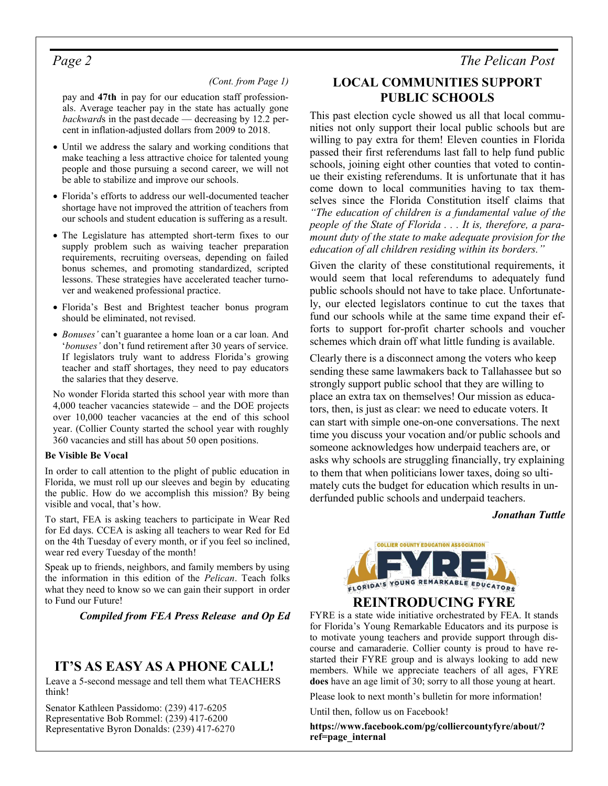#### *(Cont. from Page 1)*

pay and **47th** in pay for our education staff professionals. Average teacher pay in the state has actually gone *backward*s in the past decade — decreasing by 12.2 percent in inflation-adjusted dollars from 2009 to 2018.

- Until we address the salary and working conditions that make teaching a less attractive choice for talented young people and those pursuing a second career, we will not be able to stabilize and improve our schools.
- Florida's efforts to address our well-documented teacher shortage have not improved the attrition of teachers from our schools and student education is suffering as a result.
- The Legislature has attempted short-term fixes to our supply problem such as waiving teacher preparation requirements, recruiting overseas, depending on failed bonus schemes, and promoting standardized, scripted lessons. These strategies have accelerated teacher turnover and weakened professional practice.
- Florida's Best and Brightest teacher bonus program should be eliminated, not revised.
- *Bonuses'* can't guarantee a home loan or a car loan. And '*bonuses'* don't fund retirement after 30 years of service. If legislators truly want to address Florida's growing teacher and staff shortages, they need to pay educators the salaries that they deserve.

No wonder Florida started this school year with more than 4,000 teacher vacancies statewide – and the DOE projects over 10,000 teacher vacancies at the end of this school year. (Collier County started the school year with roughly 360 vacancies and still has about 50 open positions.

#### **Be Visible Be Vocal**

In order to call attention to the plight of public education in Florida, we must roll up our sleeves and begin by educating the public. How do we accomplish this mission? By being visible and vocal, that's how.

To start, FEA is asking teachers to participate in Wear Red for Ed days. CCEA is asking all teachers to wear Red for Ed on the 4th Tuesday of every month, or if you feel so inclined, wear red every Tuesday of the month!

Speak up to friends, neighbors, and family members by using the information in this edition of the *Pelican*. Teach folks what they need to know so we can gain their support in order to Fund our Future!

*Compiled from FEA Press Release and Op Ed*

#### **IT'S AS EASY AS A PHONE CALL!**

Leave a 5-second message and tell them what TEACHERS think!

Senator Kathleen Passidomo: (239) 417-6205 Representative Bob Rommel: (239) 417-6200 Representative Byron Donalds: (239) 417-6270

#### **LOCAL COMMUNITIES SUPPORT PUBLIC SCHOOLS**

This past election cycle showed us all that local communities not only support their local public schools but are willing to pay extra for them! Eleven counties in Florida passed their first referendums last fall to help fund public schools, joining eight other counties that voted to continue their existing referendums. It is unfortunate that it has come down to local communities having to tax themselves since the Florida Constitution itself claims that *"The education of children is a fundamental value of the people of the State of Florida . . . It is, therefore, a paramount duty of the state to make adequate provision for the education of all children residing within its borders."*

Given the clarity of these constitutional requirements, it would seem that local referendums to adequately fund public schools should not have to take place. Unfortunately, our elected legislators continue to cut the taxes that fund our schools while at the same time expand their efforts to support for-profit charter schools and voucher schemes which drain off what little funding is available.

Clearly there is a disconnect among the voters who keep sending these same lawmakers back to Tallahassee but so strongly support public school that they are willing to place an extra tax on themselves! Our mission as educators, then, is just as clear: we need to educate voters. It can start with simple one-on-one conversations. The next time you discuss your vocation and/or public schools and someone acknowledges how underpaid teachers are, or asks why schools are struggling financially, try explaining to them that when politicians lower taxes, doing so ultimately cuts the budget for education which results in underfunded public schools and underpaid teachers.

#### *Jonathan Tuttle*



#### **REINTRODUCING FYRE**

FYRE is a state wide initiative orchestrated by FEA. It stands for Florida's Young Remarkable Educators and its purpose is to motivate young teachers and provide support through discourse and camaraderie. Collier county is proud to have restarted their FYRE group and is always looking to add new members. While we appreciate teachers of all ages, FYRE **does** have an age limit of 30; sorry to all those young at heart.

Please look to next month's bulletin for more information!

Until then, follow us on Facebook!

**[https://www.facebook.com/pg/colliercountyfyre/about/?](https://www.facebook.com/pg/colliercountyfyre/about/?ref=page_internal) [ref=page\\_internal](https://www.facebook.com/pg/colliercountyfyre/about/?ref=page_internal)**

### *Page 2 The Pelican Post*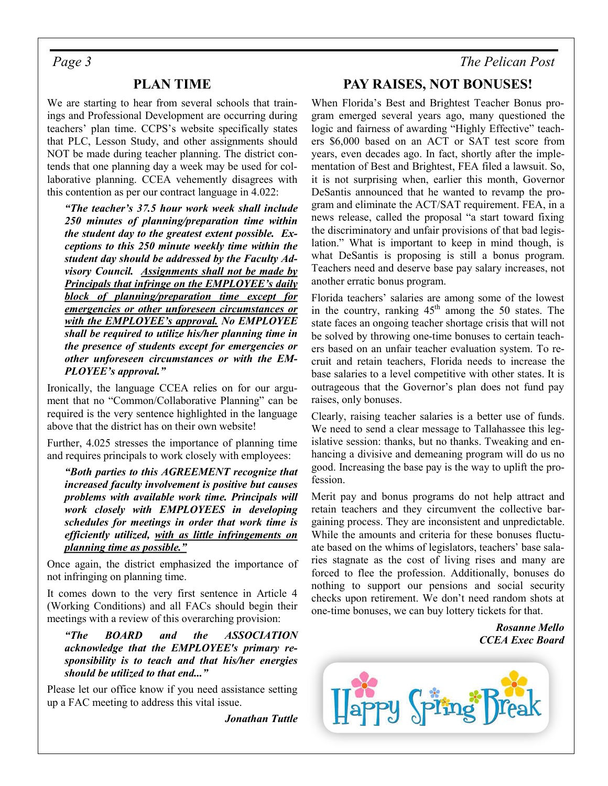#### **PLAN TIME**

We are starting to hear from several schools that trainings and Professional Development are occurring during teachers' plan time. CCPS's website specifically states that PLC, Lesson Study, and other assignments should NOT be made during teacher planning. The district contends that one planning day a week may be used for collaborative planning. CCEA vehemently disagrees with this contention as per our contract language in 4.022:

*"The teacher's 37.5 hour work week shall include 250 minutes of planning/preparation time within the student day to the greatest extent possible. Exceptions to this 250 minute weekly time within the student day should be addressed by the Faculty Advisory Council. Assignments shall not be made by Principals that infringe on the EMPLOYEE's daily block of planning/preparation time except for emergencies or other unforeseen circumstances or with the EMPLOYEE's approval. No EMPLOYEE shall be required to utilize his/her planning time in the presence of students except for emergencies or other unforeseen circumstances or with the EM-PLOYEE's approval."*

Ironically, the language CCEA relies on for our argument that no "Common/Collaborative Planning" can be required is the very sentence highlighted in the language above that the district has on their own website!

Further, 4.025 stresses the importance of planning time and requires principals to work closely with employees:

*"Both parties to this AGREEMENT recognize that increased faculty involvement is positive but causes problems with available work time. Principals will work closely with EMPLOYEES in developing schedules for meetings in order that work time is efficiently utilized, with as little infringements on planning time as possible."*

Once again, the district emphasized the importance of not infringing on planning time.

It comes down to the very first sentence in Article 4 (Working Conditions) and all FACs should begin their meetings with a review of this overarching provision:

*"The BOARD and the ASSOCIATION acknowledge that the EMPLOYEE's primary responsibility is to teach and that his/her energies should be utilized to that end..."*

Please let our office know if you need assistance setting up a FAC meeting to address this vital issue.

*Jonathan Tuttle*

### *Page 3 The Pelican Post*

#### **PAY RAISES, NOT BONUSES!**

When Florida's Best and Brightest Teacher Bonus program emerged several years ago, many questioned the logic and fairness of awarding "Highly Effective" teachers \$6,000 based on an ACT or SAT test score from years, even decades ago. In fact, shortly after the implementation of Best and Brightest, FEA filed a lawsuit. So, it is not surprising when, earlier this month, Governor DeSantis announced that he wanted to revamp the program and eliminate the ACT/SAT requirement. FEA, in a news release, called the proposal "a start toward fixing the discriminatory and unfair provisions of that bad legislation." What is important to keep in mind though, is what DeSantis is proposing is still a bonus program. Teachers need and deserve base pay salary increases, not another erratic bonus program.

Florida teachers' salaries are among some of the lowest in the country, ranking  $45<sup>th</sup>$  among the 50 states. The state faces an ongoing teacher shortage crisis that will not be solved by throwing one-time bonuses to certain teachers based on an unfair teacher evaluation system. To recruit and retain teachers, Florida needs to increase the base salaries to a level competitive with other states. It is outrageous that the Governor's plan does not fund pay raises, only bonuses.

Clearly, raising teacher salaries is a better use of funds. We need to send a clear message to Tallahassee this legislative session: thanks, but no thanks. Tweaking and enhancing a divisive and demeaning program will do us no good. Increasing the base pay is the way to uplift the profession.

Merit pay and bonus programs do not help attract and retain teachers and they circumvent the collective bargaining process. They are inconsistent and unpredictable. While the amounts and criteria for these bonuses fluctuate based on the whims of legislators, teachers' base salaries stagnate as the cost of living rises and many are forced to flee the profession. Additionally, bonuses do nothing to support our pensions and social security checks upon retirement. We don't need random shots at one-time bonuses, we can buy lottery tickets for that.

> *Rosanne Mello CCEA Exec Board*